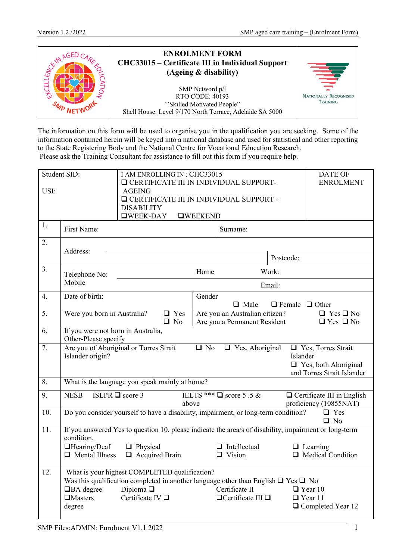| <b>ENROLMENT FORM</b><br>CHC33015 – Certificate III in Individual Support<br>(Ageing & disability)                                  | $\equiv$                                        |
|-------------------------------------------------------------------------------------------------------------------------------------|-------------------------------------------------|
| SMP Netword p/l<br><b>RTO CODE: 40193</b><br>"Skilled Motivated People"<br>Shell House: Level 9/170 North Terrace, Adelaide SA 5000 | <b>NATIONALLY RECOGNISED</b><br><b>TRAINING</b> |

The information on this form will be used to organise you in the qualification you are seeking. Some of the information contained herein will be keyed into a national database and used for statistical and other reporting to the State Registering Body and the National Centre for Vocational Education Research. Please ask the Training Consultant for assistance to fill out this form if you require help.

|      | Student SID:                                                                                                  | <b>DATE OF</b><br>I AM ENROLLING IN: CHC33015                    |            |                 |                                               |                            |                                                                                                       |
|------|---------------------------------------------------------------------------------------------------------------|------------------------------------------------------------------|------------|-----------------|-----------------------------------------------|----------------------------|-------------------------------------------------------------------------------------------------------|
| USI: |                                                                                                               | <b>Q CERTIFICATE III IN INDIVIDUAL SUPPORT-</b><br><b>AGEING</b> |            |                 | <b>ENROLMENT</b>                              |                            |                                                                                                       |
|      |                                                                                                               | <b>Q</b> CERTIFICATE III IN INDIVIDUAL SUPPORT -                 |            |                 |                                               |                            |                                                                                                       |
|      | <b>DISABILITY</b>                                                                                             |                                                                  |            |                 |                                               |                            |                                                                                                       |
|      |                                                                                                               | $\Box$ WEEK-DAY                                                  |            | <b>OWEEKEND</b> |                                               |                            |                                                                                                       |
| 1.   | First Name:                                                                                                   |                                                                  |            |                 | Surname:                                      |                            |                                                                                                       |
| 2.   |                                                                                                               |                                                                  |            |                 |                                               |                            |                                                                                                       |
|      | Address:                                                                                                      |                                                                  |            |                 |                                               | Postcode:                  |                                                                                                       |
| 3.   | Telephone No:                                                                                                 |                                                                  |            | Home            |                                               | Work:                      |                                                                                                       |
|      | Mobile                                                                                                        |                                                                  |            |                 |                                               | Email:                     |                                                                                                       |
| 4.   | Date of birth:                                                                                                |                                                                  |            | Gender          |                                               |                            |                                                                                                       |
| 5.   | Were you born in Australia?                                                                                   |                                                                  | $\Box$ Yes |                 | $\Box$ Male<br>Are you an Australian citizen? | $\Box$ Female $\Box$ Other | $\overline{\Box \text{ Yes}}$ $\overline{\Box \text{ No}}$                                            |
|      |                                                                                                               |                                                                  | $\Box$ No  |                 | Are you a Permanent Resident                  |                            | $\Box$ Yes $\Box$ No                                                                                  |
| 6.   | If you were not born in Australia,<br>Other-Please specify                                                    |                                                                  |            |                 |                                               |                            |                                                                                                       |
| 7.   | Are you of Aboriginal or Torres Strait<br>Islander origin?                                                    |                                                                  |            | $\Box$ No       | $\Box$ Yes, Aboriginal                        | Islander                   | □ Yes, Torres Strait<br>$\Box$ Yes, both Aboriginal<br>and Torres Strait Islander                     |
| 8.   | What is the language you speak mainly at home?                                                                |                                                                  |            |                 |                                               |                            |                                                                                                       |
| 9.   | <b>NESB</b>                                                                                                   | ISLPR $\Box$ score 3                                             | above      |                 | IELTS *** $\Box$ score 5.5 &                  |                            | $\Box$ Certificate III in English<br>proficiency (10855NAT)                                           |
| 10.  | Do you consider yourself to have a disability, impairment, or long-term condition?<br>$\Box$ Yes<br>$\Box$ No |                                                                  |            |                 |                                               |                            |                                                                                                       |
| 11.  |                                                                                                               |                                                                  |            |                 |                                               |                            | If you answered Yes to question 10, please indicate the area/s of disability, impairment or long-term |
|      | condition.                                                                                                    |                                                                  |            |                 |                                               |                            |                                                                                                       |
|      | □Hearing/Deaf<br>$\Box$ Mental Illness                                                                        | $\Box$ Physical<br>$\Box$ Acquired Brain                         |            |                 | $\Box$ Intellectual<br>$\Box$ Vision          |                            | $\Box$ Learning<br>$\Box$ Medical Condition                                                           |
|      |                                                                                                               |                                                                  |            |                 |                                               |                            |                                                                                                       |
| 12.  | What is your highest COMPLETED qualification?                                                                 |                                                                  |            |                 |                                               |                            |                                                                                                       |
|      | Was this qualification completed in another language other than English $\Box$ Yes $\Box$ No                  |                                                                  |            |                 |                                               |                            |                                                                                                       |
|      | $\Box$ BA degree                                                                                              | Diploma $\square$                                                |            |                 | Certificate II                                |                            | $\Box$ Year 10                                                                                        |
|      | <b>I</b> Masters                                                                                              | Certificate IV $\Box$                                            |            |                 | $\Box$ Certificate III $\Box$                 |                            | $\Box$ Year 11                                                                                        |
|      | degree                                                                                                        |                                                                  |            |                 |                                               |                            | $\Box$ Completed Year 12                                                                              |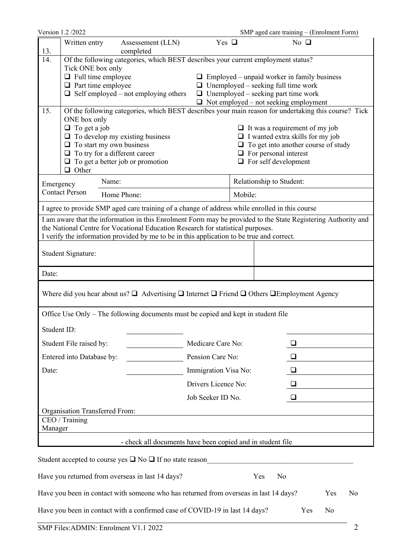|             | Version 1.2/2022                               |             |                                                                                                                      |                      |         |                                            | SMP aged care training - (Enrolment Form)          |                |
|-------------|------------------------------------------------|-------------|----------------------------------------------------------------------------------------------------------------------|----------------------|---------|--------------------------------------------|----------------------------------------------------|----------------|
| 13.         | Written entry                                  |             | Assessement (LLN)<br>completed                                                                                       | Yes $\Box$           |         |                                            | No $\Box$                                          |                |
| 14.         |                                                |             | Of the following categories, which BEST describes your current employment status?                                    |                      |         |                                            |                                                    |                |
|             | Tick ONE box only<br>$\Box$ Full time employee |             |                                                                                                                      |                      |         |                                            |                                                    |                |
|             | $\Box$ Part time employee                      |             |                                                                                                                      |                      |         | $\Box$ Unemployed – seeking full time work | $\Box$ Employed – unpaid worker in family business |                |
|             |                                                |             | $\Box$ Self employed – not employing others                                                                          |                      |         | $\Box$ Unemployed – seeking part time work |                                                    |                |
|             |                                                |             |                                                                                                                      |                      |         |                                            | $\Box$ Not employed – not seeking employment       |                |
| 15.         | ONE box only                                   |             | Of the following categories, which BEST describes your main reason for undertaking this course? Tick                 |                      |         |                                            |                                                    |                |
|             | $\Box$ To get a job                            |             |                                                                                                                      |                      |         |                                            | $\Box$ It was a requirement of my job              |                |
|             |                                                |             | $\Box$ To develop my existing business                                                                               |                      |         |                                            | $\Box$ I wanted extra skills for my job            |                |
|             | $\Box$ To start my own business                |             |                                                                                                                      |                      |         |                                            | $\Box$ To get into another course of study         |                |
|             | $\Box$ To try for a different career           |             |                                                                                                                      |                      |         | $\Box$ For personal interest               |                                                    |                |
|             | $\Box$ Other                                   |             | $\Box$ To get a better job or promotion                                                                              |                      |         | $\Box$ For self development                |                                                    |                |
| Emergency   |                                                | Name:       |                                                                                                                      |                      |         | Relationship to Student:                   |                                                    |                |
|             | <b>Contact Person</b>                          | Home Phone: |                                                                                                                      |                      | Mobile: |                                            |                                                    |                |
|             |                                                |             | I agree to provide SMP aged care training of a change of address while enrolled in this course                       |                      |         |                                            |                                                    |                |
|             |                                                |             | I am aware that the information in this Enrolment Form may be provided to the State Registering Authority and        |                      |         |                                            |                                                    |                |
|             |                                                |             | the National Centre for Vocational Education Research for statistical purposes.                                      |                      |         |                                            |                                                    |                |
|             |                                                |             | I verify the information provided by me to be in this application to be true and correct.                            |                      |         |                                            |                                                    |                |
|             | Student Signature:                             |             |                                                                                                                      |                      |         |                                            |                                                    |                |
| Date:       |                                                |             |                                                                                                                      |                      |         |                                            |                                                    |                |
|             |                                                |             | Where did you hear about us? $\Box$ Advertising $\Box$ Internet $\Box$ Friend $\Box$ Others $\Box$ Employment Agency |                      |         |                                            |                                                    |                |
|             |                                                |             | Office Use Only – The following documents must be copied and kept in student file                                    |                      |         |                                            |                                                    |                |
| Student ID: |                                                |             |                                                                                                                      |                      |         |                                            |                                                    |                |
|             | Student File raised by:                        |             |                                                                                                                      | Medicare Care No:    |         |                                            |                                                    |                |
|             | Entered into Database by:                      |             |                                                                                                                      | Pension Care No:     |         |                                            | ❏                                                  |                |
| Date:       |                                                |             |                                                                                                                      | Immigration Visa No: |         |                                            | ❏                                                  |                |
|             |                                                |             |                                                                                                                      | Drivers Licence No:  |         |                                            | ❏                                                  |                |
|             |                                                |             |                                                                                                                      | Job Seeker ID No.    |         |                                            | ❏                                                  |                |
|             | Organisation Transferred From:                 |             |                                                                                                                      |                      |         |                                            |                                                    |                |
|             | CEO / Training                                 |             |                                                                                                                      |                      |         |                                            |                                                    |                |
| Manager     |                                                |             |                                                                                                                      |                      |         |                                            |                                                    |                |
|             |                                                |             | - check all documents have been copied and in student file                                                           |                      |         |                                            |                                                    |                |
|             |                                                |             | Student accepted to course yes $\square$ No $\square$ If no state reason                                             |                      |         |                                            |                                                    |                |
|             |                                                |             | Have you returned from overseas in last 14 days?                                                                     |                      |         | N <sub>o</sub><br>Yes                      |                                                    |                |
|             |                                                |             | Have you been in contact with someone who has returned from overseas in last 14 days?                                |                      |         |                                            | Yes                                                | N <sub>o</sub> |

Have you been in contact with a confirmed case of COVID-19 in last 14 days? Yes No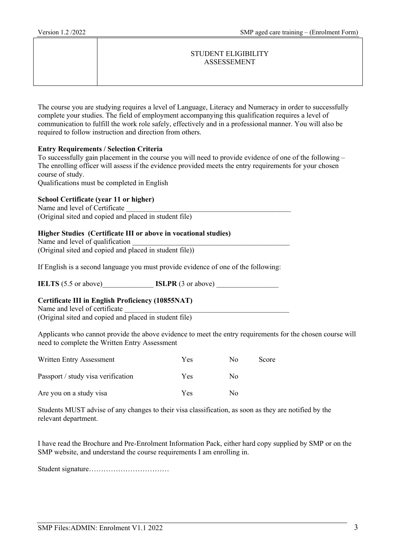#### STUDENT ELIGIBILITY ASSESSEMENT

The course you are studying requires a level of Language, Literacy and Numeracy in order to successfully complete your studies. The field of employment accompanying this qualification requires a level of communication to fulfill the work role safely, effectively and in a professional manner. You will also be required to follow instruction and direction from others.

#### **Entry Requirements / Selection Criteria**

To successfully gain placement in the course you will need to provide evidence of one of the following – The enrolling officer will assess if the evidence provided meets the entry requirements for your chosen course of study.

Qualifications must be completed in English

#### **School Certificate (year 11 or higher)**

Name and level of Certificate (Original sited and copied and placed in student file)

#### **Higher Studies (Certificate III or above in vocational studies)**

Name and level of qualification (Original sited and copied and placed in student file))

If English is a second language you must provide evidence of one of the following:

**IELTS** (5.5 or above) **ISLPR** (3 or above)

#### **Certificate III in English Proficiency (10855NAT)**

Name and level of certificate (Original sited and copied and placed in student file)

Applicants who cannot provide the above evidence to meet the entry requirements for the chosen course will need to complete the Written Entry Assessment

| Written Entry Assessment           | Yes        | $N_{\Omega}$ | Score |
|------------------------------------|------------|--------------|-------|
| Passport / study visa verification | <b>Yes</b> | No           |       |
| Are you on a study visa            | Yes        | $N_{\Omega}$ |       |

Students MUST advise of any changes to their visa classification, as soon as they are notified by the relevant department.

I have read the Brochure and Pre-Enrolment Information Pack, either hard copy supplied by SMP or on the SMP website, and understand the course requirements I am enrolling in.

Student signature……………………………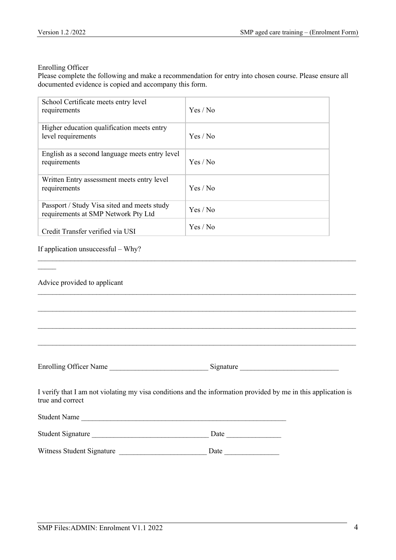#### Enrolling Officer

Please complete the following and make a recommendation for entry into chosen course. Please ensure all documented evidence is copied and accompany this form.

| School Certificate meets entry level<br>requirements                               | Yes / No |
|------------------------------------------------------------------------------------|----------|
| Higher education qualification meets entry<br>level requirements                   | Yes / No |
| English as a second language meets entry level<br>requirements                     | Yes / No |
| Written Entry assessment meets entry level<br>requirements                         | Yes / No |
| Passport / Study Visa sited and meets study<br>requirements at SMP Network Pty Ltd | Yes / No |
| Credit Transfer verified via USI                                                   | Yes / No |

#### If application unsuccessful – Why?

| Advice provided to applicant |                                                                                                               |
|------------------------------|---------------------------------------------------------------------------------------------------------------|
|                              |                                                                                                               |
|                              |                                                                                                               |
|                              |                                                                                                               |
|                              |                                                                                                               |
| true and correct             | I verify that I am not violating my visa conditions and the information provided by me in this application is |
| Student Name                 |                                                                                                               |
| Student Signature            |                                                                                                               |
| Witness Student Signature    | Date                                                                                                          |

 $\mathcal{L}_\mathcal{L} = \{ \mathcal{L}_\mathcal{L} = \{ \mathcal{L}_\mathcal{L} = \{ \mathcal{L}_\mathcal{L} = \{ \mathcal{L}_\mathcal{L} = \{ \mathcal{L}_\mathcal{L} = \{ \mathcal{L}_\mathcal{L} = \{ \mathcal{L}_\mathcal{L} = \{ \mathcal{L}_\mathcal{L} = \{ \mathcal{L}_\mathcal{L} = \{ \mathcal{L}_\mathcal{L} = \{ \mathcal{L}_\mathcal{L} = \{ \mathcal{L}_\mathcal{L} = \{ \mathcal{L}_\mathcal{L} = \{ \mathcal{L}_\mathcal{$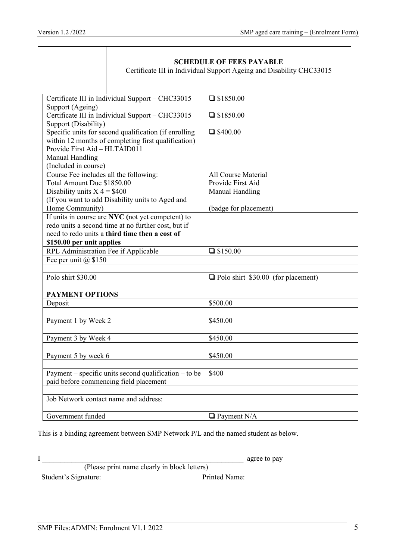|                                                                                      | <b>SCHEDULE OF FEES PAYABLE</b>                                      |
|--------------------------------------------------------------------------------------|----------------------------------------------------------------------|
|                                                                                      | Certificate III in Individual Support Ageing and Disability CHC33015 |
|                                                                                      |                                                                      |
|                                                                                      |                                                                      |
| Certificate III in Individual Support - CHC33015                                     | $\Box$ \$1850.00                                                     |
| Support (Ageing)                                                                     |                                                                      |
| Certificate III in Individual Support - CHC33015                                     | $\Box$ \$1850.00                                                     |
| Support (Disability)                                                                 |                                                                      |
| Specific units for second qualification (if enrolling                                | $\Box$ \$400.00                                                      |
| within 12 months of completing first qualification)<br>Provide First Aid - HLTAID011 |                                                                      |
|                                                                                      |                                                                      |
| Manual Handling                                                                      |                                                                      |
| (Included in course)<br>Course Fee includes all the following:                       | <b>All Course Material</b>                                           |
| Total Amount Due \$1850.00                                                           | Provide First Aid                                                    |
| Disability units $X = $400$                                                          | Manual Handling                                                      |
| (If you want to add Disability units to Aged and                                     |                                                                      |
| Home Community)                                                                      | (badge for placement)                                                |
| If units in course are NYC (not yet competent) to                                    |                                                                      |
| redo units a second time at no further cost, but if                                  |                                                                      |
| need to redo units a third time then a cost of                                       |                                                                      |
| \$150.00 per unit applies                                                            |                                                                      |
| RPL Administration Fee if Applicable                                                 | $\Box$ \$150.00                                                      |
| Fee per unit $(a)$ \$150                                                             |                                                                      |
|                                                                                      |                                                                      |
| Polo shirt \$30.00                                                                   | Polo shirt \$30.00 (for placement)                                   |
|                                                                                      |                                                                      |
| <b>PAYMENT OPTIONS</b>                                                               |                                                                      |
| Deposit                                                                              | \$500.00                                                             |
|                                                                                      |                                                                      |
| Payment 1 by Week 2                                                                  | \$450.00                                                             |
|                                                                                      |                                                                      |
| Payment 3 by Week 4                                                                  | \$450.00                                                             |
| Payment 5 by week 6                                                                  |                                                                      |
|                                                                                      | \$450.00                                                             |
| Payment – specific units second qualification – to be                                | \$400                                                                |
| paid before commencing field placement                                               |                                                                      |
|                                                                                      |                                                                      |
| Job Network contact name and address:                                                |                                                                      |
|                                                                                      |                                                                      |
| Government funded                                                                    | $\Box$ Payment N/A                                                   |

This is a binding agreement between SMP Network P/L and the named student as below.

I \_\_\_\_\_\_\_\_\_\_\_\_\_\_\_\_\_\_\_\_\_\_\_\_\_\_\_\_\_\_\_\_\_\_\_\_\_\_\_\_\_\_\_\_\_\_\_\_\_\_\_\_\_\_\_ agree to pay (Please print name clearly in block letters) Student's Signature: Printed Name: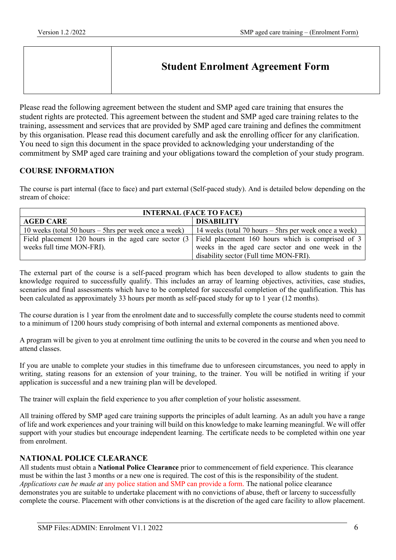| <b>Student Enrolment Agreement Form</b> |
|-----------------------------------------|
|                                         |

Please read the following agreement between the student and SMP aged care training that ensures the student rights are protected. This agreement between the student and SMP aged care training relates to the training, assessment and services that are provided by SMP aged care training and defines the commitment by this organisation. Please read this document carefully and ask the enrolling officer for any clarification. You need to sign this document in the space provided to acknowledging your understanding of the commitment by SMP aged care training and your obligations toward the completion of your study program.

## **COURSE INFORMATION**

The course is part internal (face to face) and part external (Self-paced study). And is detailed below depending on the stream of choice:

| <b>INTERNAL (FACE TO FACE)</b>                          |                                                                                                               |  |
|---------------------------------------------------------|---------------------------------------------------------------------------------------------------------------|--|
| <b>AGED CARE</b>                                        | <b>DISABILITY</b>                                                                                             |  |
| 10 weeks (total 50 hours $-$ 5hrs per week once a week) | 14 weeks (total 70 hours $-$ 5hrs per week once a week)                                                       |  |
|                                                         | Field placement 120 hours in the aged care sector $(3 \mid$ Field placement 160 hours which is comprised of 3 |  |
| weeks full time MON-FRI).                               | weeks in the aged care sector and one week in the                                                             |  |
|                                                         | disability sector (Full time MON-FRI).                                                                        |  |

The external part of the course is a self-paced program which has been developed to allow students to gain the knowledge required to successfully qualify. This includes an array of learning objectives, activities, case studies, scenarios and final assessments which have to be completed for successful completion of the qualification. This has been calculated as approximately 33 hours per month as self-paced study for up to 1 year (12 months).

The course duration is 1 year from the enrolment date and to successfully complete the course students need to commit to a minimum of 1200 hours study comprising of both internal and external components as mentioned above.

A program will be given to you at enrolment time outlining the units to be covered in the course and when you need to attend classes.

If you are unable to complete your studies in this timeframe due to unforeseen circumstances, you need to apply in writing, stating reasons for an extension of your training, to the trainer. You will be notified in writing if your application is successful and a new training plan will be developed.

The trainer will explain the field experience to you after completion of your holistic assessment.

All training offered by SMP aged care training supports the principles of adult learning. As an adult you have a range of life and work experiences and your training will build on this knowledge to make learning meaningful. We will offer support with your studies but encourage independent learning. The certificate needs to be completed within one year from enrolment.

#### **NATIONAL POLICE CLEARANCE**

All students must obtain a **National Police Clearance** prior to commencement of field experience. This clearance must be within the last 3 months or a new one is required. The cost of this is the responsibility of the student. *Applications can be made at* any police station and SMP can provide a form. The national police clearance demonstrates you are suitable to undertake placement with no convictions of abuse, theft or larceny to successfully complete the course. Placement with other convictions is at the discretion of the aged care facility to allow placement.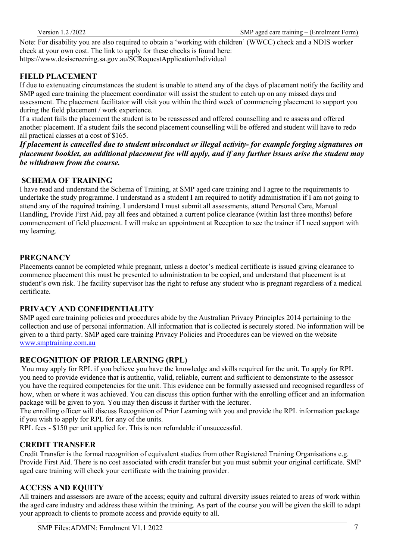Note: For disability you are also required to obtain a 'working with children' (WWCC) check and a NDIS worker check at your own cost. The link to apply for these checks is found here: https://www.dcsiscreening.sa.gov.au/SCRequestApplicationIndividual

# **FIELD PLACEMENT**

If due to extenuating circumstances the student is unable to attend any of the days of placement notify the facility and SMP aged care training the placement coordinator will assist the student to catch up on any missed days and assessment. The placement facilitator will visit you within the third week of commencing placement to support you during the field placement / work experience.

If a student fails the placement the student is to be reassessed and offered counselling and re assess and offered another placement. If a student fails the second placement counselling will be offered and student will have to redo all practical classes at a cost of \$165.

*If placement is cancelled due to student misconduct or illegal activity- for example forging signatures on placement booklet, an additional placement fee will apply, and if any further issues arise the student may be withdrawn from the course.* 

## **SCHEMA OF TRAINING**

I have read and understand the Schema of Training, at SMP aged care training and I agree to the requirements to undertake the study programme. I understand as a student I am required to notify administration if I am not going to attend any of the required training. I understand I must submit all assessments, attend Personal Care, Manual Handling, Provide First Aid, pay all fees and obtained a current police clearance (within last three months) before commencement of field placement. I will make an appointment at Reception to see the trainer if I need support with my learning.

## **PREGNANCY**

Placements cannot be completed while pregnant, unless a doctor's medical certificate is issued giving clearance to commence placement this must be presented to administration to be copied, and understand that placement is at student's own risk. The facility supervisor has the right to refuse any student who is pregnant regardless of a medical certificate.

#### **PRIVACY AND CONFIDENTIALITY**

SMP aged care training policies and procedures abide by the Australian Privacy Principles 2014 pertaining to the collection and use of personal information. All information that is collected is securely stored. No information will be given to a third party. SMP aged care training Privacy Policies and Procedures can be viewed on the website www.smptraining.com.au

#### **RECOGNITION OF PRIOR LEARNING (RPL)**

You may apply for RPL if you believe you have the knowledge and skills required for the unit. To apply for RPL you need to provide evidence that is authentic, valid, reliable, current and sufficient to demonstrate to the assessor you have the required competencies for the unit. This evidence can be formally assessed and recognised regardless of how, when or where it was achieved. You can discuss this option further with the enrolling officer and an information package will be given to you. You may then discuss it further with the lecturer.

The enrolling officer will discuss Recognition of Prior Learning with you and provide the RPL information package if you wish to apply for RPL for any of the units.

RPL fees - \$150 per unit applied for. This is non refundable if unsuccessful.

## **CREDIT TRANSFER**

Credit Transfer is the formal recognition of equivalent studies from other Registered Training Organisations e.g. Provide First Aid. There is no cost associated with credit transfer but you must submit your original certificate. SMP aged care training will check your certificate with the training provider.

#### **ACCESS AND EQUITY**

All trainers and assessors are aware of the access; equity and cultural diversity issues related to areas of work within the aged care industry and address these within the training. As part of the course you will be given the skill to adapt your approach to clients to promote access and provide equity to all.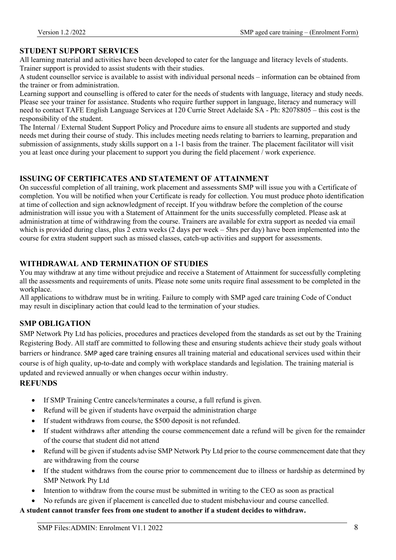## **STUDENT SUPPORT SERVICES**

All learning material and activities have been developed to cater for the language and literacy levels of students. Trainer support is provided to assist students with their studies.

A student counsellor service is available to assist with individual personal needs – information can be obtained from the trainer or from administration.

Learning support and counselling is offered to cater for the needs of students with language, literacy and study needs. Please see your trainer for assistance. Students who require further support in language, literacy and numeracy will need to contact TAFE English Language Services at 120 Currie Street Adelaide SA - Ph: 82078805 – this cost is the responsibility of the student.

The Internal / External Student Support Policy and Procedure aims to ensure all students are supported and study needs met during their course of study. This includes meeting needs relating to barriers to learning, preparation and submission of assignments, study skills support on a 1-1 basis from the trainer. The placement facilitator will visit you at least once during your placement to support you during the field placement / work experience.

## **ISSUING OF CERTIFICATES AND STATEMENT OF ATTAINMENT**

On successful completion of all training, work placement and assessments SMP will issue you with a Certificate of completion. You will be notified when your Certificate is ready for collection. You must produce photo identification at time of collection and sign acknowledgment of receipt. If you withdraw before the completion of the course administration will issue you with a Statement of Attainment for the units successfully completed. Please ask at administration at time of withdrawing from the course. Trainers are available for extra support as needed via email which is provided during class, plus 2 extra weeks (2 days per week – 5hrs per day) have been implemented into the course for extra student support such as missed classes, catch-up activities and support for assessments.

## **WITHDRAWAL AND TERMINATION OF STUDIES**

You may withdraw at any time without prejudice and receive a Statement of Attainment for successfully completing all the assessments and requirements of units. Please note some units require final assessment to be completed in the workplace.

All applications to withdraw must be in writing. Failure to comply with SMP aged care training Code of Conduct may result in disciplinary action that could lead to the termination of your studies.

## **SMP OBLIGATION**

SMP Network Pty Ltd has policies, procedures and practices developed from the standards as set out by the Training Registering Body. All staff are committed to following these and ensuring students achieve their study goals without barriers or hindrance. SMP aged care training ensures all training material and educational services used within their course is of high quality, up-to-date and comply with workplace standards and legislation. The training material is updated and reviewed annually or when changes occur within industry.

## **REFUNDS**

- If SMP Training Centre cancels/terminates a course, a full refund is given.
- Refund will be given if students have overpaid the administration charge
- If student withdraws from course, the \$500 deposit is not refunded.
- If student withdraws after attending the course commencement date a refund will be given for the remainder of the course that student did not attend
- Refund will be given if students advise SMP Network Pty Ltd prior to the course commencement date that they are withdrawing from the course
- If the student withdraws from the course prior to commencement due to illness or hardship as determined by SMP Network Pty Ltd
- Intention to withdraw from the course must be submitted in writing to the CEO as soon as practical
- No refunds are given if placement is cancelled due to student misbehaviour and course cancelled.

#### **A student cannot transfer fees from one student to another if a student decides to withdraw.**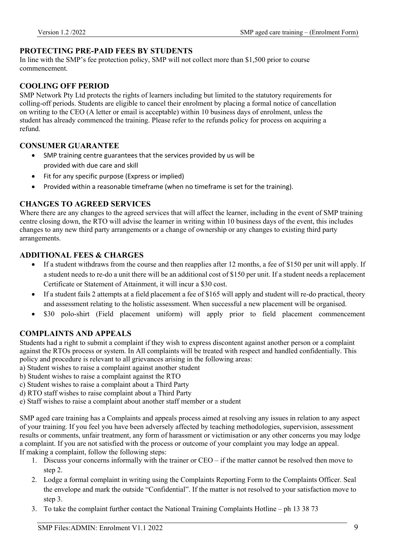# **PROTECTING PRE-PAID FEES BY STUDENTS**

In line with the SMP's fee protection policy, SMP will not collect more than \$1,500 prior to course commencement.

# **COOLING OFF PERIOD**

SMP Network Pty Ltd protects the rights of learners including but limited to the statutory requirements for colling-off periods. Students are eligible to cancel their enrolment by placing a formal notice of cancellation on writing to the CEO (A letter or email is acceptable) within 10 business days of enrolment, unless the student has already commenced the training. Please refer to the refunds policy for process on acquiring a refund.

## **CONSUMER GUARANTEE**

- SMP training centre guarantees that the services provided by us will be provided with due care and skill
- Fit for any specific purpose (Express or implied)
- Provided within a reasonable timeframe (when no timeframe is set for the training).

## **CHANGES TO AGREED SERVICES**

Where there are any changes to the agreed services that will affect the learner, including in the event of SMP training centre closing down, the RTO will advise the learner in writing within 10 business days of the event, this includes changes to any new third party arrangements or a change of ownership or any changes to existing third party arrangements.

## **ADDITIONAL FEES & CHARGES**

- If a student withdraws from the course and then reapplies after 12 months, a fee of \$150 per unit will apply. If a student needs to re-do a unit there will be an additional cost of \$150 per unit. If a student needs a replacement Certificate or Statement of Attainment, it will incur a \$30 cost.
- If a student fails 2 attempts at a field placement a fee of \$165 will apply and student will re-do practical, theory and assessment relating to the holistic assessment. When successful a new placement will be organised.
- \$30 polo-shirt (Field placement uniform) will apply prior to field placement commencement

## **COMPLAINTS AND APPEALS**

Students had a right to submit a complaint if they wish to express discontent against another person or a complaint against the RTOs process or system. In All complaints will be treated with respect and handled confidentially. This policy and procedure is relevant to all grievances arising in the following areas:

- a) Student wishes to raise a complaint against another student
- b) Student wishes to raise a complaint against the RTO
- c) Student wishes to raise a complaint about a Third Party
- d) RTO staff wishes to raise complaint about a Third Party
- e) Staff wishes to raise a complaint about another staff member or a student

SMP aged care training has a Complaints and appeals process aimed at resolving any issues in relation to any aspect of your training. If you feel you have been adversely affected by teaching methodologies, supervision, assessment results or comments, unfair treatment, any form of harassment or victimisation or any other concerns you may lodge a complaint. If you are not satisfied with the process or outcome of your complaint you may lodge an appeal. If making a complaint, follow the following steps:

- 1. Discuss your concerns informally with the trainer or CEO if the matter cannot be resolved then move to step 2.
- 2. Lodge a formal complaint in writing using the Complaints Reporting Form to the Complaints Officer. Seal the envelope and mark the outside "Confidential". If the matter is not resolved to your satisfaction move to step 3.
- 3. To take the complaint further contact the National Training Complaints Hotline ph 13 38 73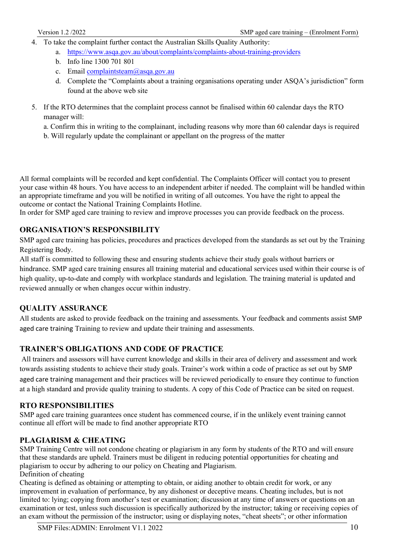- 4. To take the complaint further contact the Australian Skills Quality Authority:
	- a. https://www.asqa.gov.au/about/complaints/complaints-about-training-providers
	- b. Info line 1300 701 801
	- c. Email complaintsteam@asqa.gov.au
	- d. Complete the "Complaints about a training organisations operating under ASQA's jurisdiction" form found at the above web site
- 5. If the RTO determines that the complaint process cannot be finalised within 60 calendar days the RTO manager will:
	- a. Confirm this in writing to the complainant, including reasons why more than 60 calendar days is required
	- b. Will regularly update the complainant or appellant on the progress of the matter

All formal complaints will be recorded and kept confidential. The Complaints Officer will contact you to present your case within 48 hours. You have access to an independent arbiter if needed. The complaint will be handled within an appropriate timeframe and you will be notified in writing of all outcomes. You have the right to appeal the outcome or contact the National Training Complaints Hotline.

In order for SMP aged care training to review and improve processes you can provide feedback on the process.

# **ORGANISATION'S RESPONSIBILITY**

SMP aged care training has policies, procedures and practices developed from the standards as set out by the Training Registering Body.

All staff is committed to following these and ensuring students achieve their study goals without barriers or hindrance. SMP aged care training ensures all training material and educational services used within their course is of high quality, up-to-date and comply with workplace standards and legislation. The training material is updated and reviewed annually or when changes occur within industry.

#### **QUALITY ASSURANCE**

All students are asked to provide feedback on the training and assessments. Your feedback and comments assist SMP aged care training Training to review and update their training and assessments.

#### **TRAINER'S OBLIGATIONS AND CODE OF PRACTICE**

All trainers and assessors will have current knowledge and skills in their area of delivery and assessment and work towards assisting students to achieve their study goals. Trainer's work within a code of practice as set out by SMP aged care training management and their practices will be reviewed periodically to ensure they continue to function at a high standard and provide quality training to students. A copy of this Code of Practice can be sited on request.

#### **RTO RESPONSIBILITIES**

SMP aged care training guarantees once student has commenced course, if in the unlikely event training cannot continue all effort will be made to find another appropriate RTO

## **PLAGIARISM & CHEATING**

SMP Training Centre will not condone cheating or plagiarism in any form by students of the RTO and will ensure that these standards are upheld. Trainers must be diligent in reducing potential opportunities for cheating and plagiarism to occur by adhering to our policy on Cheating and Plagiarism.

Definition of cheating

Cheating is defined as obtaining or attempting to obtain, or aiding another to obtain credit for work, or any improvement in evaluation of performance, by any dishonest or deceptive means. Cheating includes, but is not limited to: lying; copying from another's test or examination; discussion at any time of answers or questions on an examination or test, unless such discussion is specifically authorized by the instructor; taking or receiving copies of an exam without the permission of the instructor; using or displaying notes, "cheat sheets"; or other information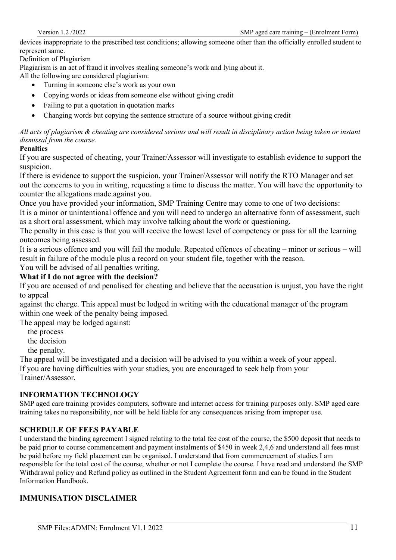devices inappropriate to the prescribed test conditions; allowing someone other than the officially enrolled student to represent same.

Definition of Plagiarism

Plagiarism is an act of fraud it involves stealing someone's work and lying about it.

All the following are considered plagiarism:

- Turning in someone else's work as your own
- Copying words or ideas from someone else without giving credit
- Failing to put a quotation in quotation marks
- Changing words but copying the sentence structure of a source without giving credit

*All acts of plagiarism & cheating are considered serious and will result in disciplinary action being taken or instant dismissal from the course.*

#### **Penalties**

If you are suspected of cheating, your Trainer/Assessor will investigate to establish evidence to support the suspicion.

If there is evidence to support the suspicion, your Trainer/Assessor will notify the RTO Manager and set out the concerns to you in writing, requesting a time to discuss the matter. You will have the opportunity to counter the allegations made.against you.

Once you have provided your information, SMP Training Centre may come to one of two decisions:

It is a minor or unintentional offence and you will need to undergo an alternative form of assessment, such as a short oral assessment, which may involve talking about the work or questioning.

The penalty in this case is that you will receive the lowest level of competency or pass for all the learning outcomes being assessed.

It is a serious offence and you will fail the module. Repeated offences of cheating – minor or serious – will result in failure of the module plus a record on your student file, together with the reason.

# You will be advised of all penalties writing.

# **What if I do not agree with the decision?**

If you are accused of and penalised for cheating and believe that the accusation is unjust, you have the right to appeal

against the charge. This appeal must be lodged in writing with the educational manager of the program within one week of the penalty being imposed.

The appeal may be lodged against:

the process

the decision

the penalty.

The appeal will be investigated and a decision will be advised to you within a week of your appeal. If you are having difficulties with your studies, you are encouraged to seek help from your Trainer/Assessor.

#### **INFORMATION TECHNOLOGY**

SMP aged care training provides computers, software and internet access for training purposes only. SMP aged care training takes no responsibility, nor will be held liable for any consequences arising from improper use.

#### **SCHEDULE OF FEES PAYABLE**

I understand the binding agreement I signed relating to the total fee cost of the course, the \$500 deposit that needs to be paid prior to course commencement and payment instalments of \$450 in week 2,4,6 and understand all fees must be paid before my field placement can be organised. I understand that from commencement of studies I am responsible for the total cost of the course, whether or not I complete the course. I have read and understand the SMP Withdrawal policy and Refund policy as outlined in the Student Agreement form and can be found in the Student Information Handbook.

### **IMMUNISATION DISCLAIMER**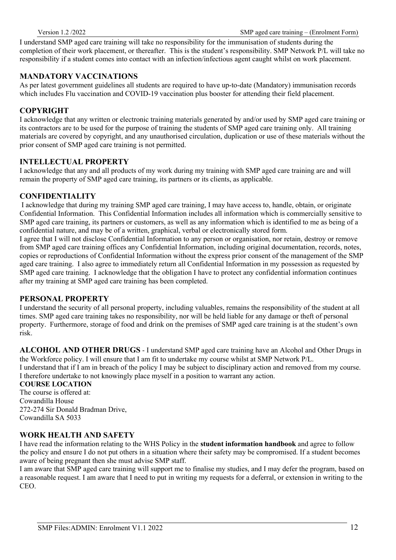I understand SMP aged care training will take no responsibility for the immunisation of students during the completion of their work placement, or thereafter. This is the student's responsibility. SMP Network P/L will take no responsibility if a student comes into contact with an infection/infectious agent caught whilst on work placement.

## **MANDATORY VACCINATIONS**

As per latest government guidelines all students are required to have up-to-date (Mandatory) immunisation records which includes Flu vaccination and COVID-19 vaccination plus booster for attending their field placement.

## **COPYRIGHT**

I acknowledge that any written or electronic training materials generated by and/or used by SMP aged care training or its contractors are to be used for the purpose of training the students of SMP aged care training only. All training materials are covered by copyright, and any unauthorised circulation, duplication or use of these materials without the prior consent of SMP aged care training is not permitted.

#### **INTELLECTUAL PROPERTY**

I acknowledge that any and all products of my work during my training with SMP aged care training are and will remain the property of SMP aged care training, its partners or its clients, as applicable.

#### **CONFIDENTIALITY**

I acknowledge that during my training SMP aged care training, I may have access to, handle, obtain, or originate Confidential Information. This Confidential Information includes all information which is commercially sensitive to SMP aged care training, its partners or customers, as well as any information which is identified to me as being of a confidential nature, and may be of a written, graphical, verbal or electronically stored form.

I agree that I will not disclose Confidential Information to any person or organisation, nor retain, destroy or remove from SMP aged care training offices any Confidential Information, including original documentation, records, notes, copies or reproductions of Confidential Information without the express prior consent of the management of the SMP aged care training. I also agree to immediately return all Confidential Information in my possession as requested by SMP aged care training. I acknowledge that the obligation I have to protect any confidential information continues after my training at SMP aged care training has been completed.

#### **PERSONAL PROPERTY**

I understand the security of all personal property, including valuables, remains the responsibility of the student at all times. SMP aged care training takes no responsibility, nor will be held liable for any damage or theft of personal property. Furthermore, storage of food and drink on the premises of SMP aged care training is at the student's own risk.

**ALCOHOL AND OTHER DRUGS** - I understand SMP aged care training have an Alcohol and Other Drugs in the Workforce policy. I will ensure that I am fit to undertake my course whilst at SMP Network P/L. I understand that if I am in breach of the policy I may be subject to disciplinary action and removed from my course. I therefore undertake to not knowingly place myself in a position to warrant any action.

### **COURSE LOCATION**

The course is offered at: Cowandilla House 272-274 Sir Donald Bradman Drive, Cowandilla SA 5033

#### **WORK HEALTH AND SAFETY**

I have read the information relating to the WHS Policy in the **student information handbook** and agree to follow the policy and ensure I do not put others in a situation where their safety may be compromised. If a student becomes aware of being pregnant then she must advise SMP staff.

I am aware that SMP aged care training will support me to finalise my studies, and I may defer the program, based on a reasonable request. I am aware that I need to put in writing my requests for a deferral, or extension in writing to the CEO.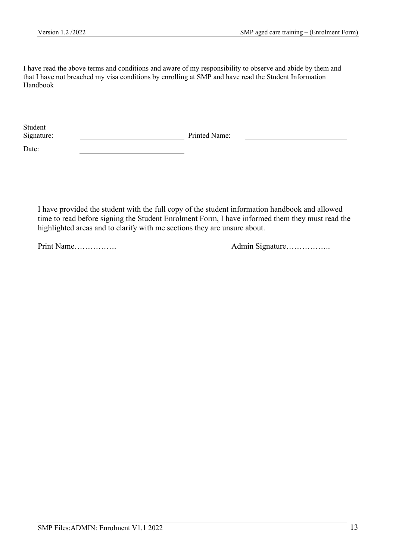I have read the above terms and conditions and aware of my responsibility to observe and abide by them and that I have not breached my visa conditions by enrolling at SMP and have read the Student Information Handbook

| Student    |               |
|------------|---------------|
| Signature: | Printed Name: |

Date:

I have provided the student with the full copy of the student information handbook and allowed time to read before signing the Student Enrolment Form, I have informed them they must read the highlighted areas and to clarify with me sections they are unsure about.

Print Name……………. Admin Signature……………..